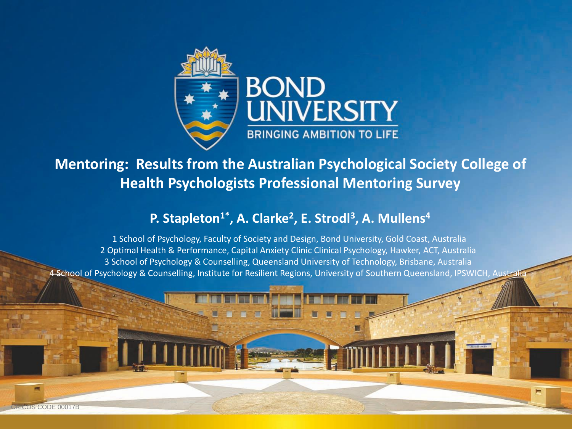

**Mentoring: Results from the Australian Psychological Society College of Health Psychologists Professional Mentoring Survey**

#### **P. Stapleton1\*, A. Clarke<sup>2</sup> , E. Strodl<sup>3</sup> , A. Mullens<sup>4</sup>**

1 School of Psychology, Faculty of Society and Design, Bond University, Gold Coast, Australia 2 Optimal Health & Performance, Capital Anxiety Clinic Clinical Psychology, Hawker, ACT, Australia 3 School of Psychology & Counselling, Queensland University of Technology, Brisbane, Australia 4 School of Psychology & Counselling, Institute for Resilient Regions, University of Southern Queensland, IPSWICH, Australia

CRICOS CODE 00017B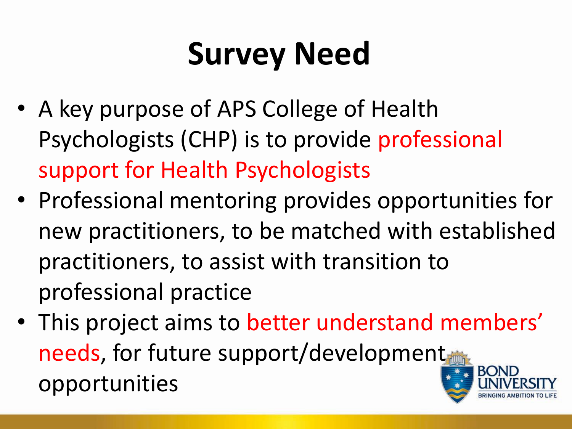# **Survey Need**

- A key purpose of APS College of Health Psychologists (CHP) is to provide professional support for Health Psychologists
- Professional mentoring provides opportunities for new practitioners, to be matched with established practitioners, to assist with transition to professional practice
- This project aims to better understand members' needs, for future support/development opportunities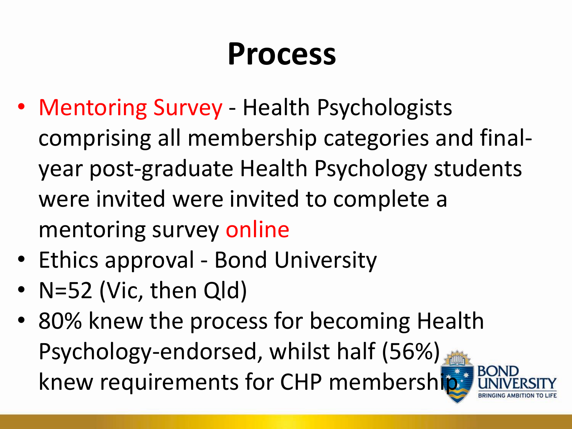# **Process**

- Mentoring Survey Health Psychologists comprising all membership categories and finalyear post-graduate Health Psychology students were invited were invited to complete a mentoring survey online
- Ethics approval Bond University
- N=52 (Vic, then Qld)
- 80% knew the process for becoming Health Psychology-endorsed, whilst half (56%) **BON** knew requirements for CHP membership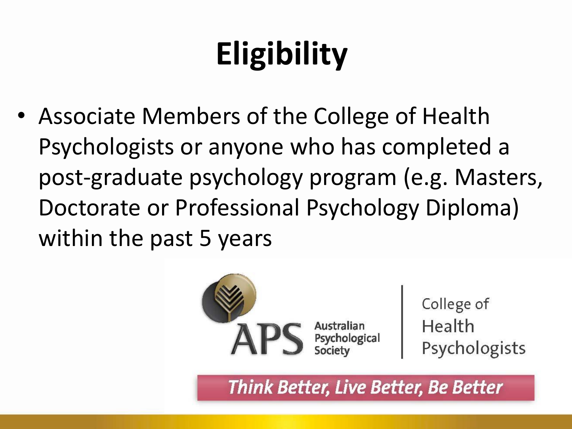# **Eligibility**

• Associate Members of the College of Health Psychologists or anyone who has completed a post-graduate psychology program (e.g. Masters, Doctorate or Professional Psychology Diploma) within the past 5 years



Think Better, Live Better, Be Better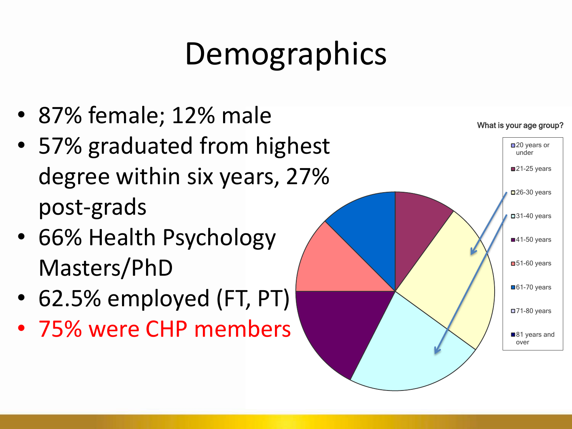# Demographics

- 87% female; 12% male
- 57% graduated from highest degree within six years, 27% post-grads
- 66% Health Psychology Masters/PhD
- 62.5% employed (FT, PT)
- 75% were CHP members

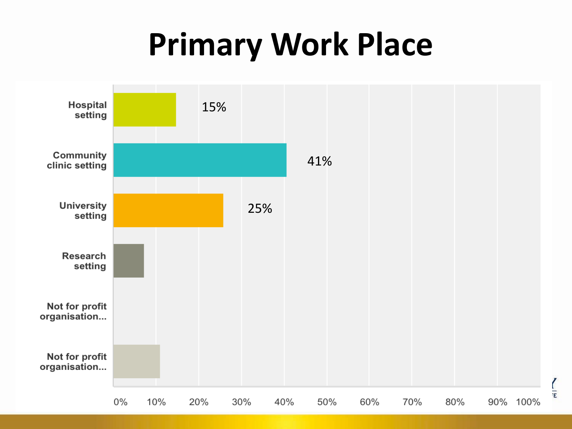# **Primary Work Place**

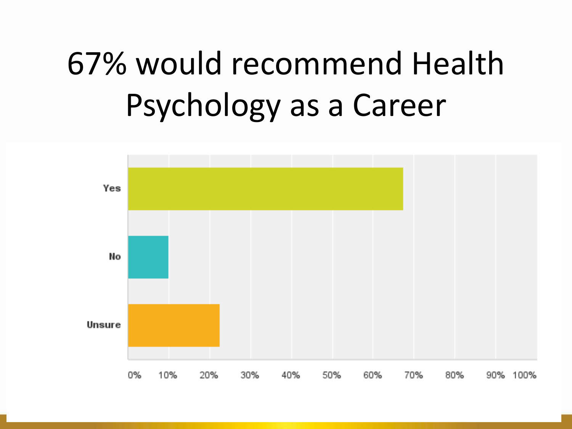# 67% would recommend Health Psychology as a Career

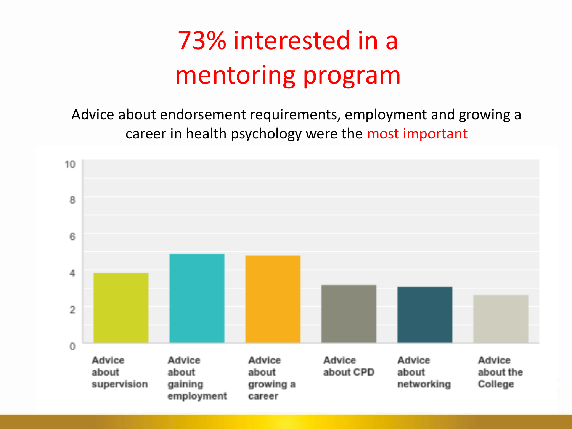### 73% interested in a mentoring program

Advice about endorsement requirements, employment and growing a career in health psychology were the most important

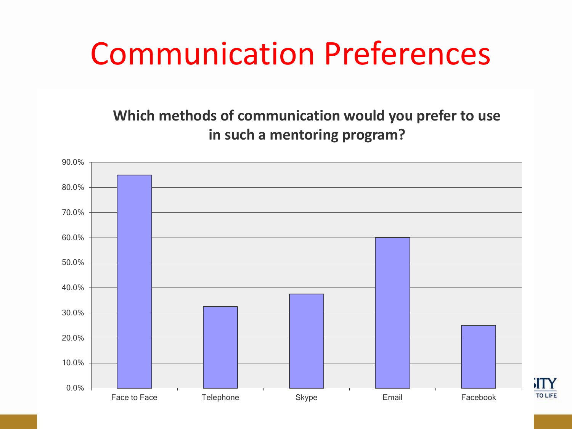## Communication Preferences

#### **Which methods of communication would you prefer to use in such a mentoring program?**

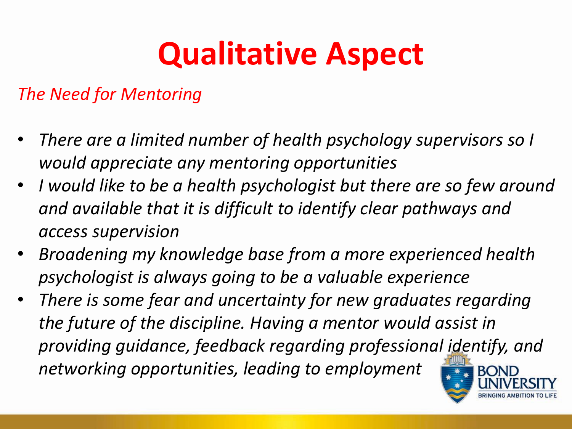# **Qualitative Aspect**

#### *The Need for Mentoring*

- *There are a limited number of health psychology supervisors so I would appreciate any mentoring opportunities*
- *I would like to be a health psychologist but there are so few around and available that it is difficult to identify clear pathways and access supervision*
- *Broadening my knowledge base from a more experienced health psychologist is always going to be a valuable experience*
- *There is some fear and uncertainty for new graduates regarding the future of the discipline. Having a mentor would assist in providing guidance, feedback regarding professional identify, and networking opportunities, leading to employment*

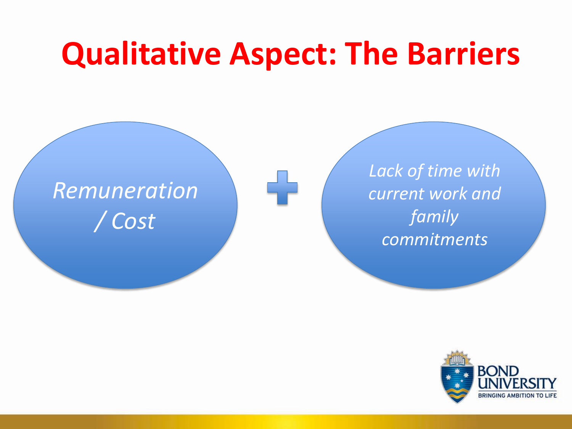## **Qualitative Aspect: The Barriers**

### *Remuneration / Cost*

*Lack of time with current work and family commitments*

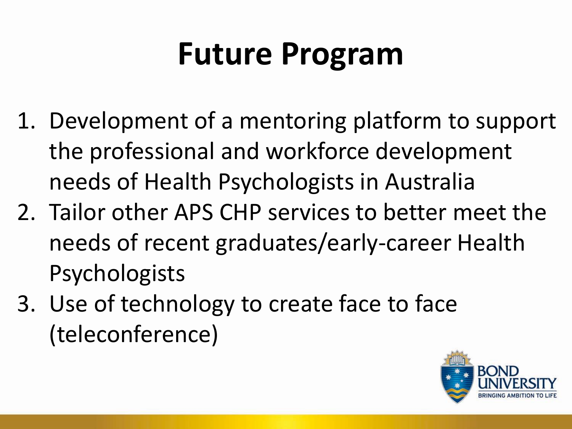# **Future Program**

- 1. Development of a mentoring platform to support the professional and workforce development needs of Health Psychologists in Australia
- 2. Tailor other APS CHP services to better meet the needs of recent graduates/early-career Health Psychologists
- 3. Use of technology to create face to face (teleconference)

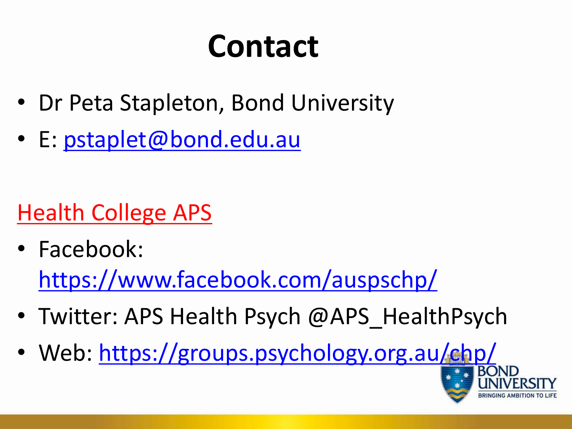# **Contact**

- Dr Peta Stapleton, Bond University
- E: [pstaplet@bond.edu.au](mailto:pstaplet@bond.edu.au)

### Health College APS

- Facebook: <https://www.facebook.com/auspschp/>
- Twitter: APS Health Psych @APS HealthPsych
- Web:<https://groups.psychology.org.au/chp/>